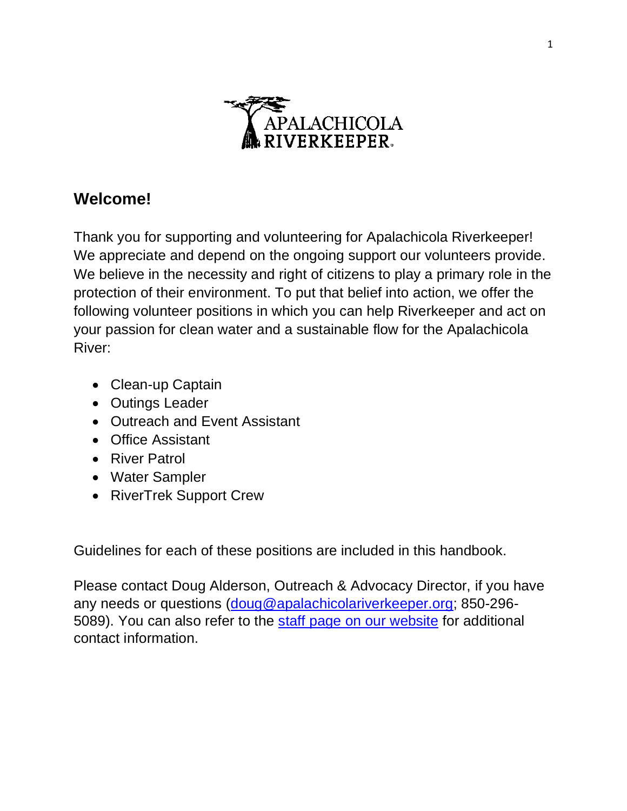

# **Welcome!**

Thank you for supporting and volunteering for Apalachicola Riverkeeper! We appreciate and depend on the ongoing support our volunteers provide. We believe in the necessity and right of citizens to play a primary role in the protection of their environment. To put that belief into action, we offer the following volunteer positions in which you can help Riverkeeper and act on your passion for clean water and a sustainable flow for the Apalachicola River:

- Clean-up Captain
- Outings Leader
- Outreach and Event Assistant
- Office Assistant
- River Patrol
- Water Sampler
- RiverTrek Support Crew

Guidelines for each of these positions are included in this handbook.

Please contact Doug Alderson, Outreach & Advocacy Director, if you have any needs or questions [\(doug@apalachicolariverkeeper.org;](mailto:doug@apalachicolariverkeeper.org) 850-296- 5089). You can also refer to the [staff page on our website](http://apalachicolariverkeeper.org/our-team/) for additional contact information.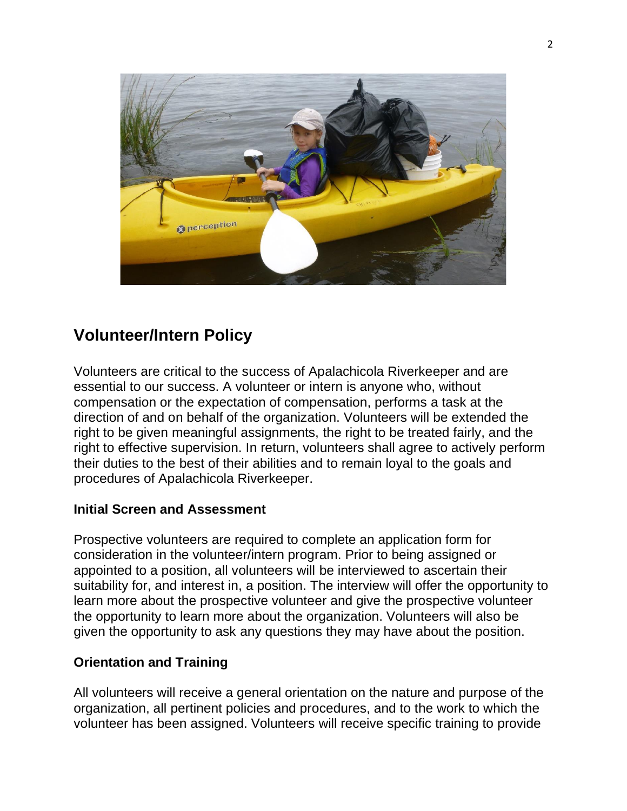

# **Volunteer/Intern Policy**

Volunteers are critical to the success of Apalachicola Riverkeeper and are essential to our success. A volunteer or intern is anyone who, without compensation or the expectation of compensation, performs a task at the direction of and on behalf of the organization. Volunteers will be extended the right to be given meaningful assignments, the right to be treated fairly, and the right to effective supervision. In return, volunteers shall agree to actively perform their duties to the best of their abilities and to remain loyal to the goals and procedures of Apalachicola Riverkeeper.

### **Initial Screen and Assessment**

Prospective volunteers are required to complete an application form for consideration in the volunteer/intern program. Prior to being assigned or appointed to a position, all volunteers will be interviewed to ascertain their suitability for, and interest in, a position. The interview will offer the opportunity to learn more about the prospective volunteer and give the prospective volunteer the opportunity to learn more about the organization. Volunteers will also be given the opportunity to ask any questions they may have about the position.

### **Orientation and Training**

All volunteers will receive a general orientation on the nature and purpose of the organization, all pertinent policies and procedures, and to the work to which the volunteer has been assigned. Volunteers will receive specific training to provide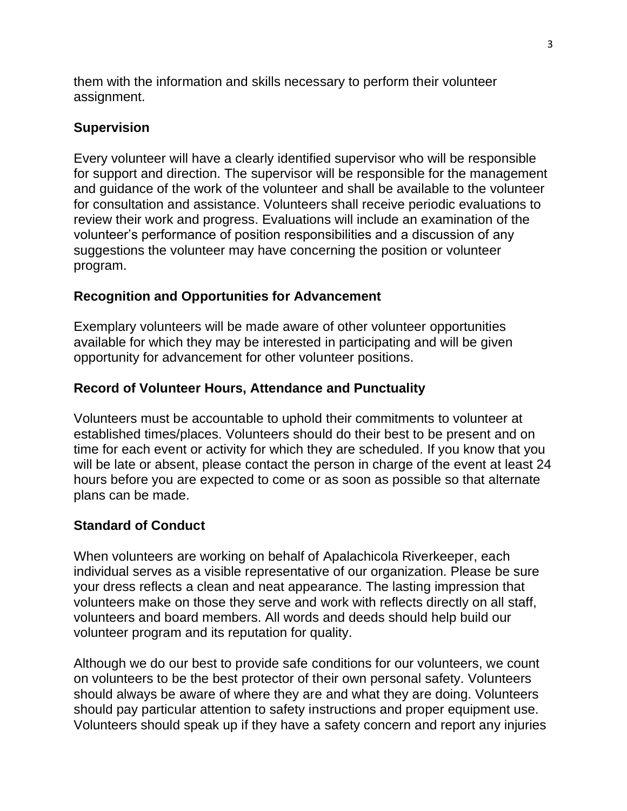them with the information and skills necessary to perform their volunteer assignment.

### **Supervision**

Every volunteer will have a clearly identified supervisor who will be responsible for support and direction. The supervisor will be responsible for the management and guidance of the work of the volunteer and shall be available to the volunteer for consultation and assistance. Volunteers shall receive periodic evaluations to review their work and progress. Evaluations will include an examination of the volunteer's performance of position responsibilities and a discussion of any suggestions the volunteer may have concerning the position or volunteer program.

### **Recognition and Opportunities for Advancement**

Exemplary volunteers will be made aware of other volunteer opportunities available for which they may be interested in participating and will be given opportunity for advancement for other volunteer positions.

### **Record of Volunteer Hours, Attendance and Punctuality**

Volunteers must be accountable to uphold their commitments to volunteer at established times/places. Volunteers should do their best to be present and on time for each event or activity for which they are scheduled. If you know that you will be late or absent, please contact the person in charge of the event at least 24 hours before you are expected to come or as soon as possible so that alternate plans can be made.

### **Standard of Conduct**

When volunteers are working on behalf of Apalachicola Riverkeeper, each individual serves as a visible representative of our organization. Please be sure your dress reflects a clean and neat appearance. The lasting impression that volunteers make on those they serve and work with reflects directly on all staff, volunteers and board members. All words and deeds should help build our volunteer program and its reputation for quality.

Although we do our best to provide safe conditions for our volunteers, we count on volunteers to be the best protector of their own personal safety. Volunteers should always be aware of where they are and what they are doing. Volunteers should pay particular attention to safety instructions and proper equipment use. Volunteers should speak up if they have a safety concern and report any injuries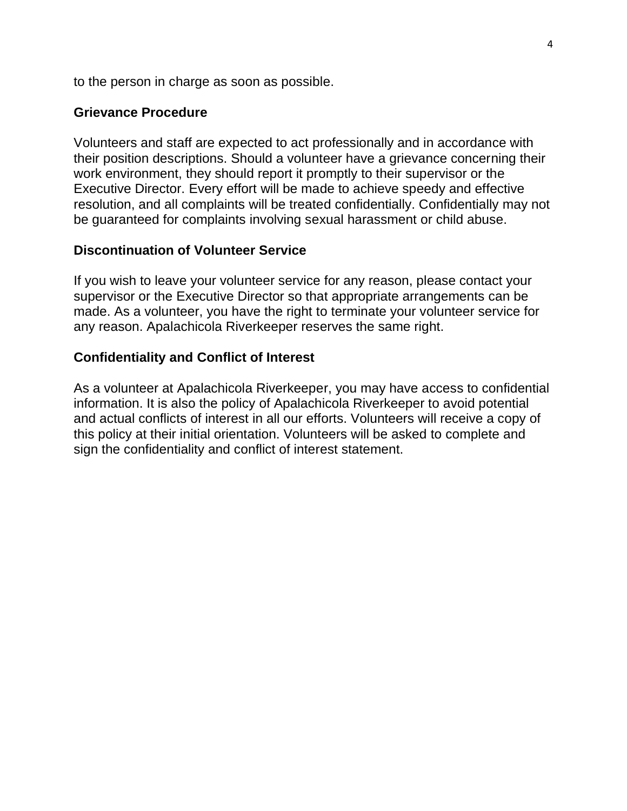to the person in charge as soon as possible.

#### **Grievance Procedure**

Volunteers and staff are expected to act professionally and in accordance with their position descriptions. Should a volunteer have a grievance concerning their work environment, they should report it promptly to their supervisor or the Executive Director. Every effort will be made to achieve speedy and effective resolution, and all complaints will be treated confidentially. Confidentially may not be guaranteed for complaints involving sexual harassment or child abuse.

#### **Discontinuation of Volunteer Service**

If you wish to leave your volunteer service for any reason, please contact your supervisor or the Executive Director so that appropriate arrangements can be made. As a volunteer, you have the right to terminate your volunteer service for any reason. Apalachicola Riverkeeper reserves the same right.

#### **Confidentiality and Conflict of Interest**

As a volunteer at Apalachicola Riverkeeper, you may have access to confidential information. It is also the policy of Apalachicola Riverkeeper to avoid potential and actual conflicts of interest in all our efforts. Volunteers will receive a copy of this policy at their initial orientation. Volunteers will be asked to complete and sign the confidentiality and conflict of interest statement.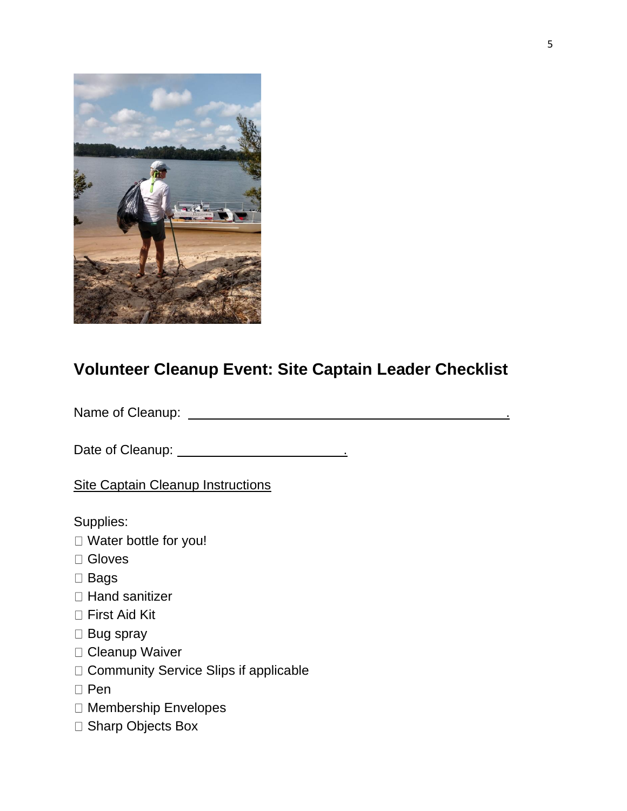

# **Volunteer Cleanup Event: Site Captain Leader Checklist**

Name of Cleanup: .

Date of Cleanup: .

Site Captain Cleanup Instructions

Supplies:

- Water bottle for you!
- □ Gloves
- □ Bags
- □ Hand sanitizer
- □ First Aid Kit
- □ Bug spray
- Cleanup Waiver
- □ Community Service Slips if applicable
- $\Box$  Pen
- Membership Envelopes
- □ Sharp Objects Box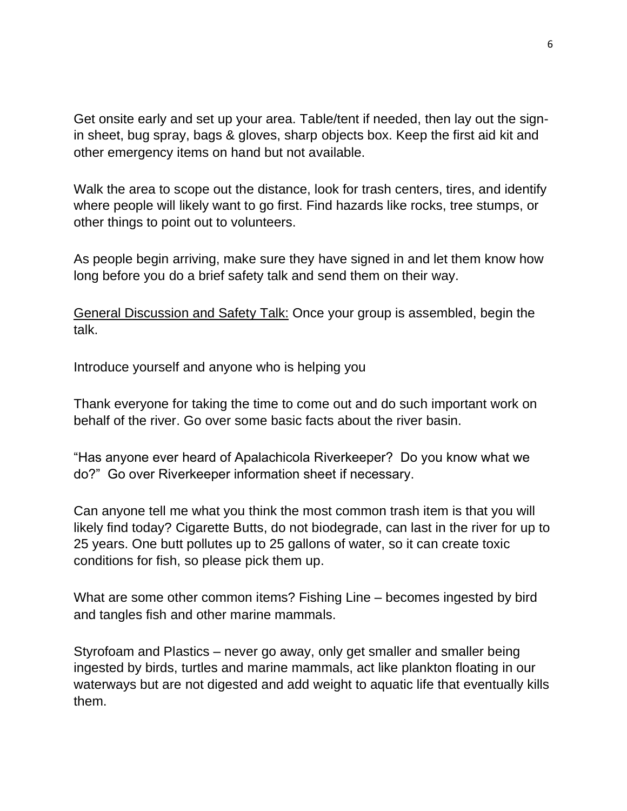Get onsite early and set up your area. Table/tent if needed, then lay out the signin sheet, bug spray, bags & gloves, sharp objects box. Keep the first aid kit and other emergency items on hand but not available.

Walk the area to scope out the distance, look for trash centers, tires, and identify where people will likely want to go first. Find hazards like rocks, tree stumps, or other things to point out to volunteers.

As people begin arriving, make sure they have signed in and let them know how long before you do a brief safety talk and send them on their way.

General Discussion and Safety Talk: Once your group is assembled, begin the talk.

Introduce yourself and anyone who is helping you

Thank everyone for taking the time to come out and do such important work on behalf of the river. Go over some basic facts about the river basin.

"Has anyone ever heard of Apalachicola Riverkeeper? Do you know what we do?" Go over Riverkeeper information sheet if necessary.

Can anyone tell me what you think the most common trash item is that you will likely find today? Cigarette Butts, do not biodegrade, can last in the river for up to 25 years. One butt pollutes up to 25 gallons of water, so it can create toxic conditions for fish, so please pick them up.

What are some other common items? Fishing Line – becomes ingested by bird and tangles fish and other marine mammals.

Styrofoam and Plastics – never go away, only get smaller and smaller being ingested by birds, turtles and marine mammals, act like plankton floating in our waterways but are not digested and add weight to aquatic life that eventually kills them.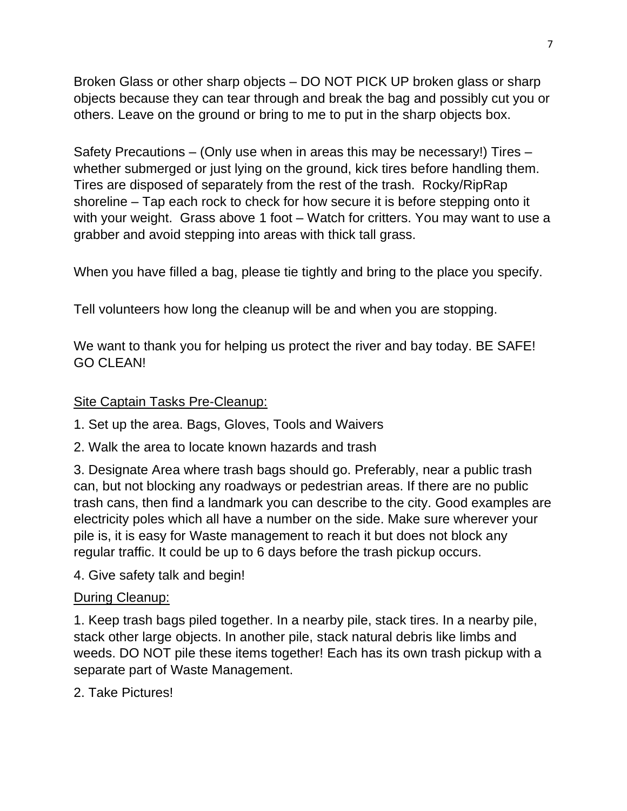Broken Glass or other sharp objects – DO NOT PICK UP broken glass or sharp objects because they can tear through and break the bag and possibly cut you or others. Leave on the ground or bring to me to put in the sharp objects box.

Safety Precautions – (Only use when in areas this may be necessary!) Tires – whether submerged or just lying on the ground, kick tires before handling them. Tires are disposed of separately from the rest of the trash. Rocky/RipRap shoreline – Tap each rock to check for how secure it is before stepping onto it with your weight. Grass above 1 foot – Watch for critters. You may want to use a grabber and avoid stepping into areas with thick tall grass.

When you have filled a bag, please tie tightly and bring to the place you specify.

Tell volunteers how long the cleanup will be and when you are stopping.

We want to thank you for helping us protect the river and bay today. BE SAFE! GO CLEAN!

## Site Captain Tasks Pre-Cleanup:

- 1. Set up the area. Bags, Gloves, Tools and Waivers
- 2. Walk the area to locate known hazards and trash

3. Designate Area where trash bags should go. Preferably, near a public trash can, but not blocking any roadways or pedestrian areas. If there are no public trash cans, then find a landmark you can describe to the city. Good examples are electricity poles which all have a number on the side. Make sure wherever your pile is, it is easy for Waste management to reach it but does not block any regular traffic. It could be up to 6 days before the trash pickup occurs.

4. Give safety talk and begin!

### During Cleanup:

1. Keep trash bags piled together. In a nearby pile, stack tires. In a nearby pile, stack other large objects. In another pile, stack natural debris like limbs and weeds. DO NOT pile these items together! Each has its own trash pickup with a separate part of Waste Management.

2. Take Pictures!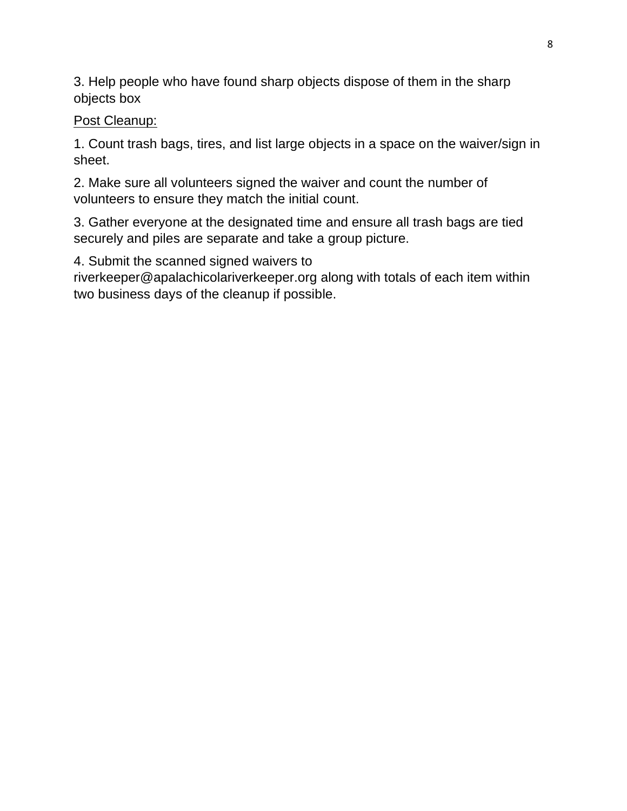3. Help people who have found sharp objects dispose of them in the sharp objects box

Post Cleanup:

1. Count trash bags, tires, and list large objects in a space on the waiver/sign in sheet.

2. Make sure all volunteers signed the waiver and count the number of volunteers to ensure they match the initial count.

3. Gather everyone at the designated time and ensure all trash bags are tied securely and piles are separate and take a group picture.

4. Submit the scanned signed waivers to

riverkeeper@apalachicolariverkeeper.org along with totals of each item within two business days of the cleanup if possible.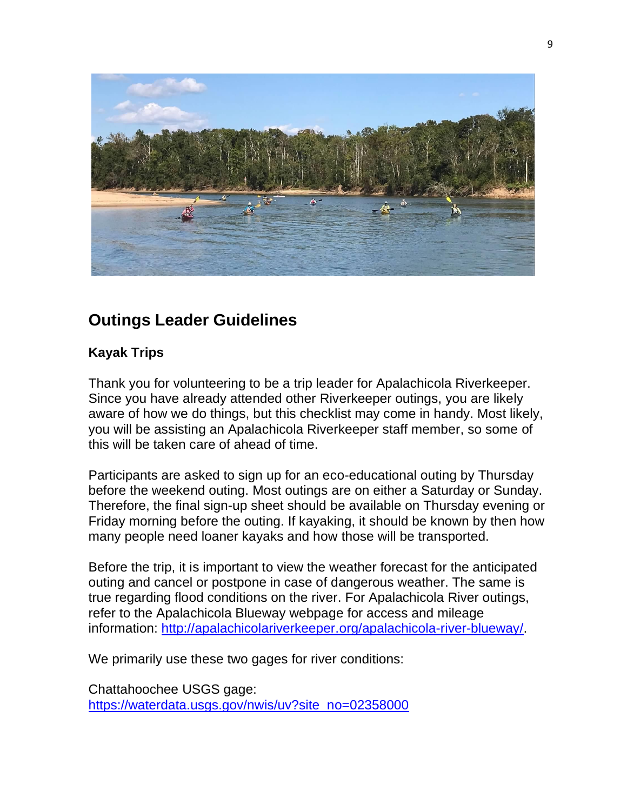

# **Outings Leader Guidelines**

### **Kayak Trips**

Thank you for volunteering to be a trip leader for Apalachicola Riverkeeper. Since you have already attended other Riverkeeper outings, you are likely aware of how we do things, but this checklist may come in handy. Most likely, you will be assisting an Apalachicola Riverkeeper staff member, so some of this will be taken care of ahead of time.

Participants are asked to sign up for an eco-educational outing by Thursday before the weekend outing. Most outings are on either a Saturday or Sunday. Therefore, the final sign-up sheet should be available on Thursday evening or Friday morning before the outing. If kayaking, it should be known by then how many people need loaner kayaks and how those will be transported.

Before the trip, it is important to view the weather forecast for the anticipated outing and cancel or postpone in case of dangerous weather. The same is true regarding flood conditions on the river. For Apalachicola River outings, refer to the Apalachicola Blueway webpage for access and mileage information: [http://apalachicolariverkeeper.org/apalachicola-river-blueway/.](http://apalachicolariverkeeper.org/apalachicola-river-blueway/)

We primarily use these two gages for river conditions:

Chattahoochee USGS gage: [https://waterdata.usgs.gov/nwis/uv?site\\_no=02358000](https://waterdata.usgs.gov/nwis/uv?site_no=02358000)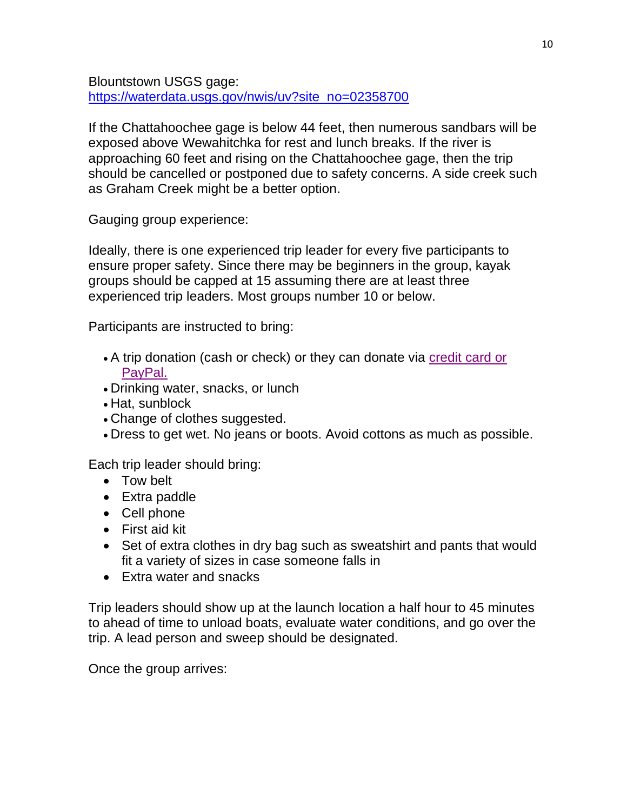Blountstown USGS gage: [https://waterdata.usgs.gov/nwis/uv?site\\_no=02358700](https://waterdata.usgs.gov/nwis/uv?site_no=02358700)

If the Chattahoochee gage is below 44 feet, then numerous sandbars will be exposed above Wewahitchka for rest and lunch breaks. If the river is approaching 60 feet and rising on the Chattahoochee gage, then the trip should be cancelled or postponed due to safety concerns. A side creek such as Graham Creek might be a better option.

Gauging group experience:

Ideally, there is one experienced trip leader for every five participants to ensure proper safety. Since there may be beginners in the group, kayak groups should be capped at 15 assuming there are at least three experienced trip leaders. Most groups number 10 or below.

Participants are instructed to bring:

- A trip donation (cash or check) or they can donate via [credit card](http://apalachicolariverkeeper.org/donate-now/) or [PayPal.](http://apalachicolariverkeeper.org/donate-now/)
- Drinking water, snacks, or lunch
- Hat, sunblock
- Change of clothes suggested.
- Dress to get wet. No jeans or boots. Avoid cottons as much as possible.

Each trip leader should bring:

- Tow belt
- Extra paddle
- Cell phone
- First aid kit
- Set of extra clothes in dry bag such as sweatshirt and pants that would fit a variety of sizes in case someone falls in
- Fxtra water and snacks

Trip leaders should show up at the launch location a half hour to 45 minutes to ahead of time to unload boats, evaluate water conditions, and go over the trip. A lead person and sweep should be designated.

Once the group arrives: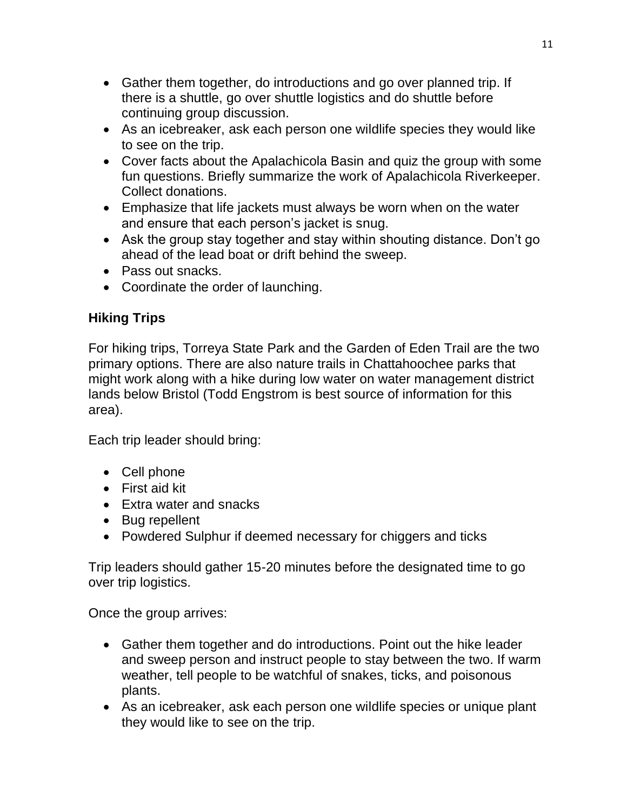- Gather them together, do introductions and go over planned trip. If there is a shuttle, go over shuttle logistics and do shuttle before continuing group discussion.
- As an icebreaker, ask each person one wildlife species they would like to see on the trip.
- Cover facts about the Apalachicola Basin and quiz the group with some fun questions. Briefly summarize the work of Apalachicola Riverkeeper. Collect donations.
- Emphasize that life jackets must always be worn when on the water and ensure that each person's jacket is snug.
- Ask the group stay together and stay within shouting distance. Don't go ahead of the lead boat or drift behind the sweep.
- Pass out snacks.
- Coordinate the order of launching.

## **Hiking Trips**

For hiking trips, Torreya State Park and the Garden of Eden Trail are the two primary options. There are also nature trails in Chattahoochee parks that might work along with a hike during low water on water management district lands below Bristol (Todd Engstrom is best source of information for this area).

Each trip leader should bring:

- Cell phone
- First aid kit
- Extra water and snacks
- Bug repellent
- Powdered Sulphur if deemed necessary for chiggers and ticks

Trip leaders should gather 15-20 minutes before the designated time to go over trip logistics.

Once the group arrives:

- Gather them together and do introductions. Point out the hike leader and sweep person and instruct people to stay between the two. If warm weather, tell people to be watchful of snakes, ticks, and poisonous plants.
- As an icebreaker, ask each person one wildlife species or unique plant they would like to see on the trip.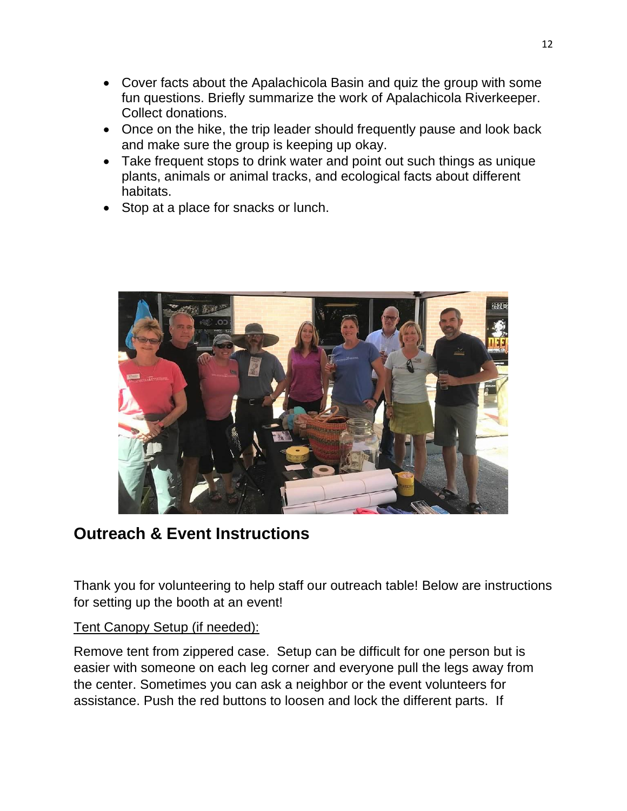- Cover facts about the Apalachicola Basin and quiz the group with some fun questions. Briefly summarize the work of Apalachicola Riverkeeper. Collect donations.
- Once on the hike, the trip leader should frequently pause and look back and make sure the group is keeping up okay.
- Take frequent stops to drink water and point out such things as unique plants, animals or animal tracks, and ecological facts about different habitats.
- Stop at a place for snacks or lunch.



## **Outreach & Event Instructions**

Thank you for volunteering to help staff our outreach table! Below are instructions for setting up the booth at an event!

#### Tent Canopy Setup (if needed):

Remove tent from zippered case. Setup can be difficult for one person but is easier with someone on each leg corner and everyone pull the legs away from the center. Sometimes you can ask a neighbor or the event volunteers for assistance. Push the red buttons to loosen and lock the different parts. If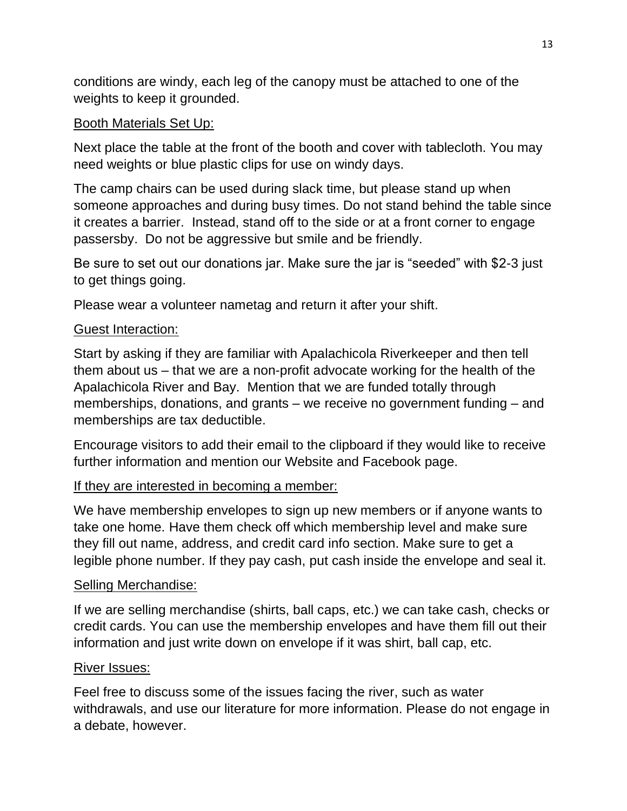conditions are windy, each leg of the canopy must be attached to one of the weights to keep it grounded.

### Booth Materials Set Up:

Next place the table at the front of the booth and cover with tablecloth. You may need weights or blue plastic clips for use on windy days.

The camp chairs can be used during slack time, but please stand up when someone approaches and during busy times. Do not stand behind the table since it creates a barrier. Instead, stand off to the side or at a front corner to engage passersby. Do not be aggressive but smile and be friendly.

Be sure to set out our donations jar. Make sure the jar is "seeded" with \$2-3 just to get things going.

Please wear a volunteer nametag and return it after your shift.

#### Guest Interaction:

Start by asking if they are familiar with Apalachicola Riverkeeper and then tell them about us – that we are a non-profit advocate working for the health of the Apalachicola River and Bay. Mention that we are funded totally through memberships, donations, and grants – we receive no government funding – and memberships are tax deductible.

Encourage visitors to add their email to the clipboard if they would like to receive further information and mention our Website and Facebook page.

### If they are interested in becoming a member:

We have membership envelopes to sign up new members or if anyone wants to take one home. Have them check off which membership level and make sure they fill out name, address, and credit card info section. Make sure to get a legible phone number. If they pay cash, put cash inside the envelope and seal it.

#### Selling Merchandise:

If we are selling merchandise (shirts, ball caps, etc.) we can take cash, checks or credit cards. You can use the membership envelopes and have them fill out their information and just write down on envelope if it was shirt, ball cap, etc.

#### River Issues:

Feel free to discuss some of the issues facing the river, such as water withdrawals, and use our literature for more information. Please do not engage in a debate, however.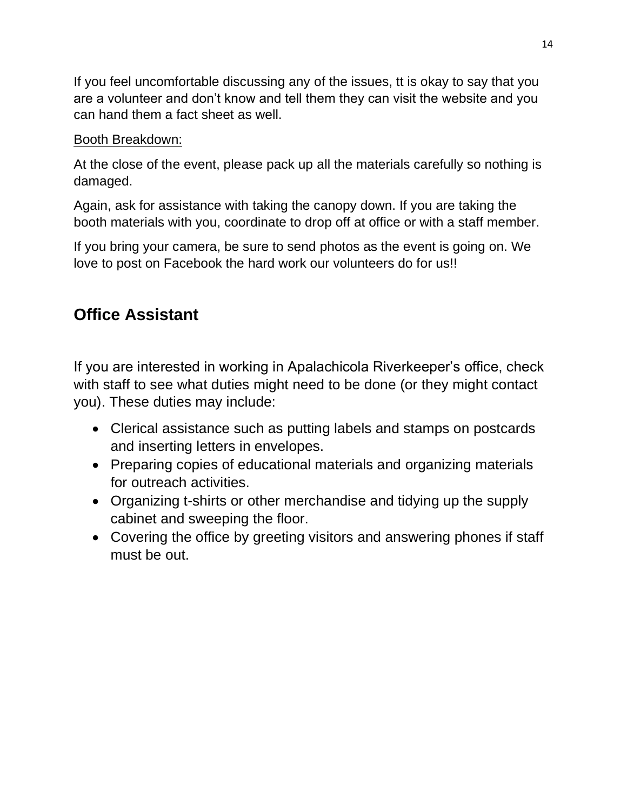If you feel uncomfortable discussing any of the issues, tt is okay to say that you are a volunteer and don't know and tell them they can visit the website and you can hand them a fact sheet as well.

### Booth Breakdown:

At the close of the event, please pack up all the materials carefully so nothing is damaged.

Again, ask for assistance with taking the canopy down. If you are taking the booth materials with you, coordinate to drop off at office or with a staff member.

If you bring your camera, be sure to send photos as the event is going on. We love to post on Facebook the hard work our volunteers do for us!!

# **Office Assistant**

If you are interested in working in Apalachicola Riverkeeper's office, check with staff to see what duties might need to be done (or they might contact you). These duties may include:

- Clerical assistance such as putting labels and stamps on postcards and inserting letters in envelopes.
- Preparing copies of educational materials and organizing materials for outreach activities.
- Organizing t-shirts or other merchandise and tidying up the supply cabinet and sweeping the floor.
- Covering the office by greeting visitors and answering phones if staff must be out.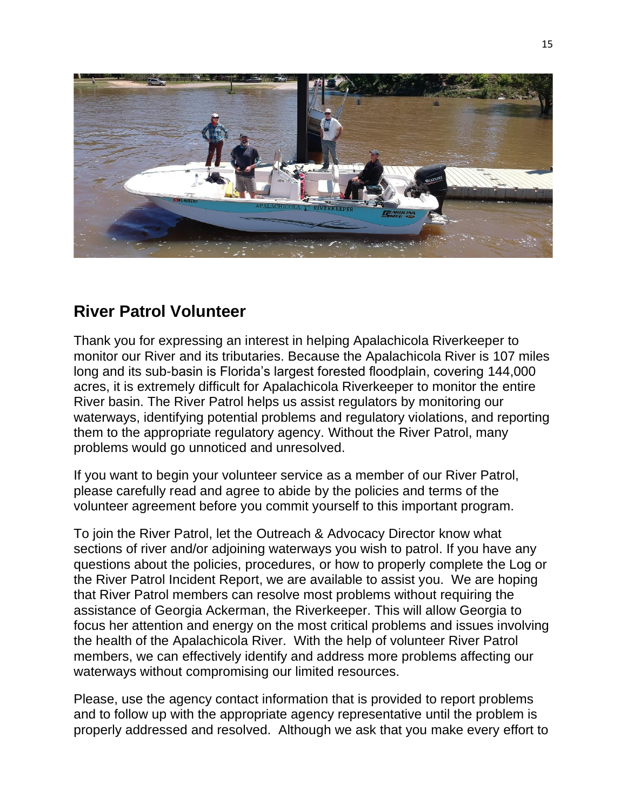

## **River Patrol Volunteer**

Thank you for expressing an interest in helping Apalachicola Riverkeeper to monitor our River and its tributaries. Because the Apalachicola River is 107 miles long and its sub-basin is Florida's largest forested floodplain, covering 144,000 acres, it is extremely difficult for Apalachicola Riverkeeper to monitor the entire River basin. The River Patrol helps us assist regulators by monitoring our waterways, identifying potential problems and regulatory violations, and reporting them to the appropriate regulatory agency. Without the River Patrol, many problems would go unnoticed and unresolved.

If you want to begin your volunteer service as a member of our River Patrol, please carefully read and agree to abide by the policies and terms of the volunteer agreement before you commit yourself to this important program.

To join the River Patrol, let the Outreach & Advocacy Director know what sections of river and/or adjoining waterways you wish to patrol. If you have any questions about the policies, procedures, or how to properly complete the Log or the River Patrol Incident Report, we are available to assist you. We are hoping that River Patrol members can resolve most problems without requiring the assistance of Georgia Ackerman, the Riverkeeper. This will allow Georgia to focus her attention and energy on the most critical problems and issues involving the health of the Apalachicola River. With the help of volunteer River Patrol members, we can effectively identify and address more problems affecting our waterways without compromising our limited resources.

Please, use the agency contact information that is provided to report problems and to follow up with the appropriate agency representative until the problem is properly addressed and resolved. Although we ask that you make every effort to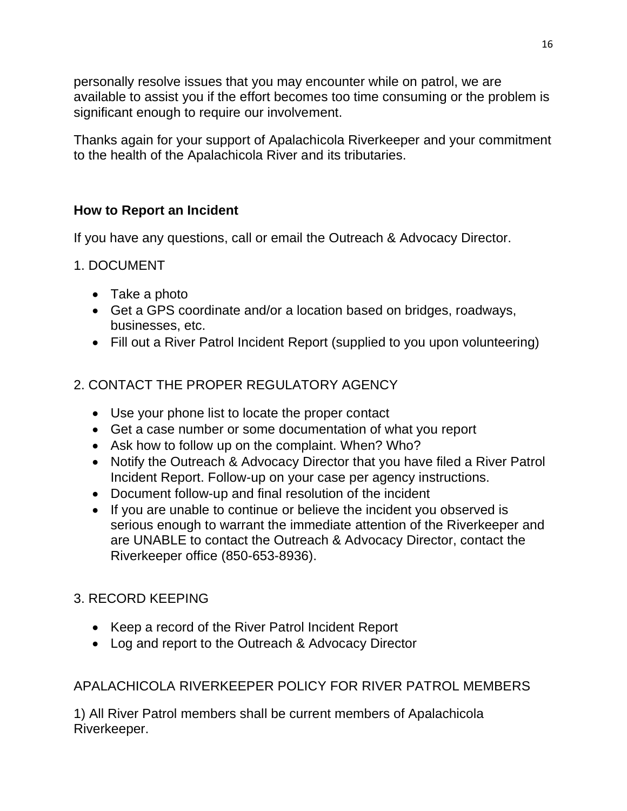personally resolve issues that you may encounter while on patrol, we are available to assist you if the effort becomes too time consuming or the problem is significant enough to require our involvement.

Thanks again for your support of Apalachicola Riverkeeper and your commitment to the health of the Apalachicola River and its tributaries.

## **How to Report an Incident**

If you have any questions, call or email the Outreach & Advocacy Director.

- 1. DOCUMENT
	- Take a photo
	- Get a GPS coordinate and/or a location based on bridges, roadways, businesses, etc.
	- Fill out a River Patrol Incident Report (supplied to you upon volunteering)

## 2. CONTACT THE PROPER REGULATORY AGENCY

- Use your phone list to locate the proper contact
- Get a case number or some documentation of what you report
- Ask how to follow up on the complaint. When? Who?
- Notify the Outreach & Advocacy Director that you have filed a River Patrol Incident Report. Follow-up on your case per agency instructions.
- Document follow-up and final resolution of the incident
- If you are unable to continue or believe the incident you observed is serious enough to warrant the immediate attention of the Riverkeeper and are UNABLE to contact the Outreach & Advocacy Director, contact the Riverkeeper office (850-653-8936).

## 3. RECORD KEEPING

- Keep a record of the River Patrol Incident Report
- Log and report to the Outreach & Advocacy Director

## APALACHICOLA RIVERKEEPER POLICY FOR RIVER PATROL MEMBERS

1) All River Patrol members shall be current members of Apalachicola Riverkeeper.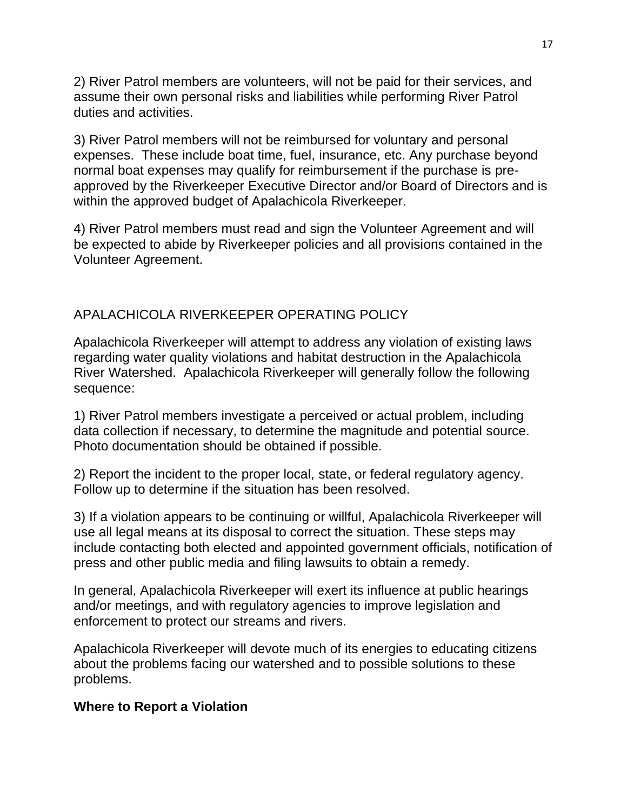2) River Patrol members are volunteers, will not be paid for their services, and assume their own personal risks and liabilities while performing River Patrol duties and activities.

3) River Patrol members will not be reimbursed for voluntary and personal expenses. These include boat time, fuel, insurance, etc. Any purchase beyond normal boat expenses may qualify for reimbursement if the purchase is preapproved by the Riverkeeper Executive Director and/or Board of Directors and is within the approved budget of Apalachicola Riverkeeper.

4) River Patrol members must read and sign the Volunteer Agreement and will be expected to abide by Riverkeeper policies and all provisions contained in the Volunteer Agreement.

### APALACHICOLA RIVERKEEPER OPERATING POLICY

Apalachicola Riverkeeper will attempt to address any violation of existing laws regarding water quality violations and habitat destruction in the Apalachicola River Watershed. Apalachicola Riverkeeper will generally follow the following sequence:

1) River Patrol members investigate a perceived or actual problem, including data collection if necessary, to determine the magnitude and potential source. Photo documentation should be obtained if possible.

2) Report the incident to the proper local, state, or federal regulatory agency. Follow up to determine if the situation has been resolved.

3) If a violation appears to be continuing or willful, Apalachicola Riverkeeper will use all legal means at its disposal to correct the situation. These steps may include contacting both elected and appointed government officials, notification of press and other public media and filing lawsuits to obtain a remedy.

In general, Apalachicola Riverkeeper will exert its influence at public hearings and/or meetings, and with regulatory agencies to improve legislation and enforcement to protect our streams and rivers.

Apalachicola Riverkeeper will devote much of its energies to educating citizens about the problems facing our watershed and to possible solutions to these problems.

#### **Where to Report a Violation**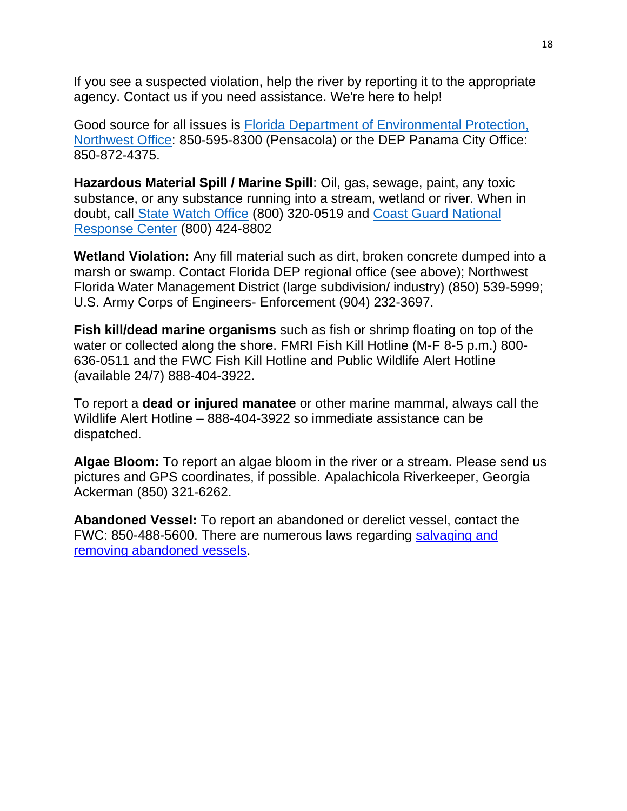If you see a suspected violation, help the river by reporting it to the appropriate agency. Contact us if you need assistance. We're here to help!

Good source for all issues is [Florida Department of Environmental Protection,](https://floridadep.gov/northwest)  [Northwest Office:](https://floridadep.gov/northwest) 850-595-8300 (Pensacola) or the DEP Panama City Office: 850-872-4375.

**Hazardous Material Spill / Marine Spill**: Oil, gas, sewage, paint, any toxic substance, or any substance running into a stream, wetland or river. When in doubt, call [State Watch Office](https://floridadep.gov/water/water-compliance-assurance/content/emergency-response) (800) 320-0519 and [Coast Guard National](https://nrc.uscg.mil/)  [Response Center](https://nrc.uscg.mil/) (800) 424-8802

**Wetland Violation:** Any fill material such as dirt, broken concrete dumped into a marsh or swamp. Contact Florida DEP regional office (see above); Northwest Florida Water Management District (large subdivision/ industry) (850) 539-5999; U.S. Army Corps of Engineers- Enforcement (904) 232-3697.

**Fish kill/dead marine organisms** such as fish or shrimp floating on top of the water or collected along the shore. FMRI Fish Kill Hotline (M-F 8-5 p.m.) 800- 636-0511 and the FWC Fish Kill Hotline and Public Wildlife Alert Hotline (available 24/7) 888-404-3922.

To report a **dead or injured manatee** or other marine mammal, always call the Wildlife Alert Hotline – 888-404-3922 so immediate assistance can be dispatched.

**Algae Bloom:** To report an algae bloom in the river or a stream. Please send us pictures and GPS coordinates, if possible. Apalachicola Riverkeeper, Georgia Ackerman (850) 321-6262.

**Abandoned Vessel:** To report an abandoned or derelict vessel, contact the FWC: 850-488-5600. There are numerous laws regarding [salvaging and](https://myfwc.com/boating/waterway/derelict-vessels/)  [removing abandoned vessels.](https://myfwc.com/boating/waterway/derelict-vessels/)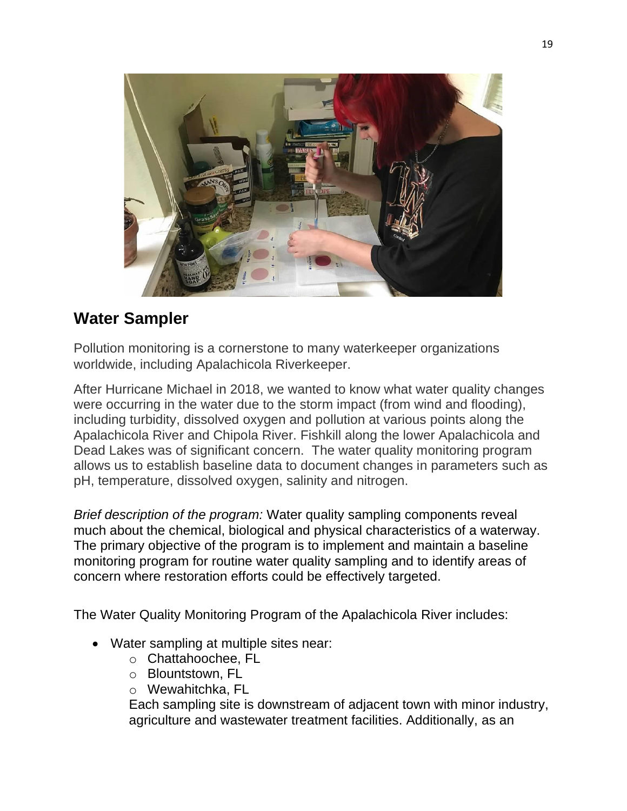

# **Water Sampler**

Pollution monitoring is a cornerstone to many waterkeeper organizations worldwide, including Apalachicola Riverkeeper.

After Hurricane Michael in 2018, we wanted to know what water quality changes were occurring in the water due to the storm impact (from wind and flooding), including turbidity, dissolved oxygen and pollution at various points along the Apalachicola River and Chipola River. Fishkill along the lower Apalachicola and Dead Lakes was of significant concern. The water quality monitoring program allows us to establish baseline data to document changes in parameters such as pH, temperature, dissolved oxygen, salinity and nitrogen.

*Brief description of the program:* Water quality sampling components reveal much about the chemical, biological and physical characteristics of a waterway. The primary objective of the program is to implement and maintain a baseline monitoring program for routine water quality sampling and to identify areas of concern where restoration efforts could be effectively targeted.

The Water Quality Monitoring Program of the Apalachicola River includes:

- Water sampling at multiple sites near:
	- o Chattahoochee, FL
	- o Blountstown, FL
	- o Wewahitchka, FL

Each sampling site is downstream of adjacent town with minor industry, agriculture and wastewater treatment facilities. Additionally, as an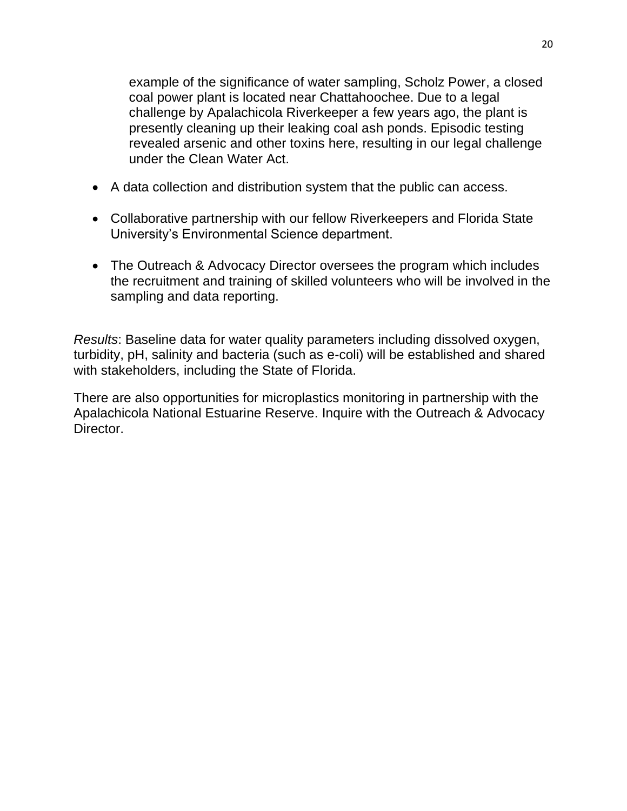example of the significance of water sampling, Scholz Power, a closed coal power plant is located near Chattahoochee. Due to a legal challenge by Apalachicola Riverkeeper a few years ago, the plant is presently cleaning up their leaking coal ash ponds. Episodic testing revealed arsenic and other toxins here, resulting in our legal challenge under the Clean Water Act.

- A data collection and distribution system that the public can access.
- Collaborative partnership with our fellow Riverkeepers and Florida State University's Environmental Science department.
- The Outreach & Advocacy Director oversees the program which includes the recruitment and training of skilled volunteers who will be involved in the sampling and data reporting.

*Results*: Baseline data for water quality parameters including dissolved oxygen, turbidity, pH, salinity and bacteria (such as e-coli) will be established and shared with stakeholders, including the State of Florida.

There are also opportunities for microplastics monitoring in partnership with the Apalachicola National Estuarine Reserve. Inquire with the Outreach & Advocacy Director.